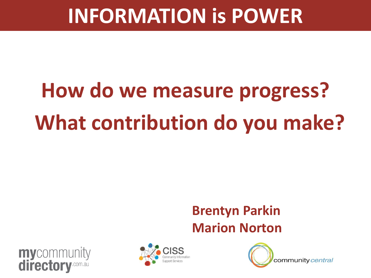# **How do we measure progress? What contribution do you make?**

#### **Brentyn Parkin Marion Norton**





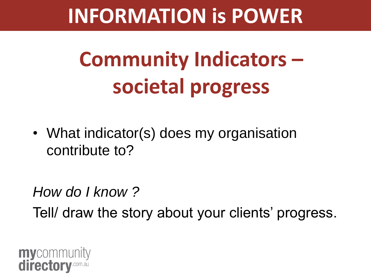## **Community Indicators – societal progress**

• What indicator(s) does my organisation contribute to?

### *How do I know ?* Tell/ draw the story about your clients' progress.

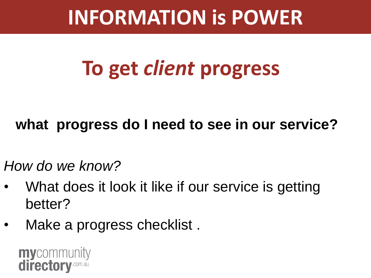## **To get** *client* **progress**

#### **what progress do I need to see in our service?**

*How do we know?* 

- What does it look it like if our service is getting better?
- Make a progress checklist.

**my**community directory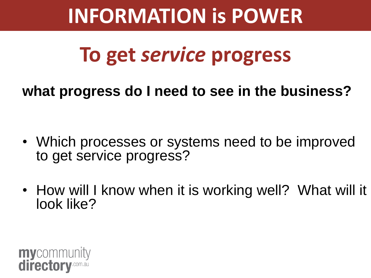## **To get** *service* **progress**

**what progress do I need to see in the business?**

- Which processes or systems need to be improved to get service progress?
- How will I know when it is working well? What will it look like?

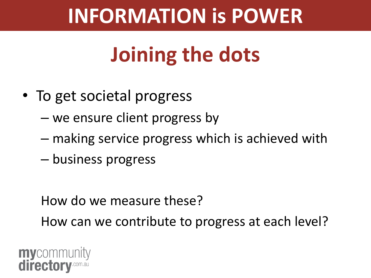## **Joining the dots**

- To get societal progress
	- we ensure client progress by
	- making service progress which is achieved with
	- business progress

How do we measure these?

How can we contribute to progress at each level?

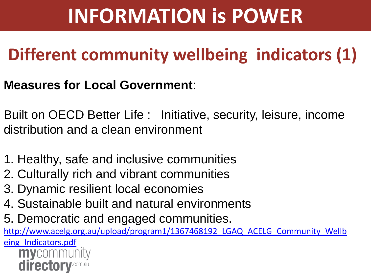### **Different community wellbeing indicators (1)**

#### **Measures for Local Government**:

Built on OECD Better Life : Initiative, security, leisure, income distribution and a clean environment

- 1. Healthy, safe and inclusive communities
- 2. Culturally rich and vibrant communities
- 3. Dynamic resilient local economies
- 4. Sustainable built and natural environments
- 5. Democratic and engaged communities.

http://www.acelg.org.au/upload/program1/1367468192 LGAQ ACELG Community Wellb

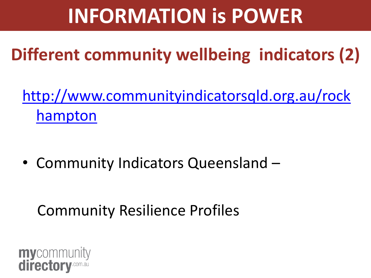### **Different community wellbeing indicators (2)**

[http://www.communityindicatorsqld.org.au/rock](http://www.communityindicatorsqld.org.au/rockhampton) [hampton](http://www.communityindicatorsqld.org.au/rockhampton)

• Community Indicators Queensland –

#### Community Resilience Profiles

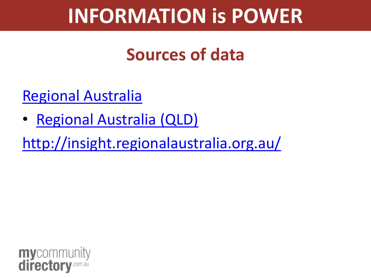#### **Sources of data**

[Regional Australia](http://www.regionalaustralia.gov.au/queensland)

• [Regional Australia \(QLD\)](http://www.regionalaustralia.gov.au/queensland)

<http://insight.regionalaustralia.org.au/>